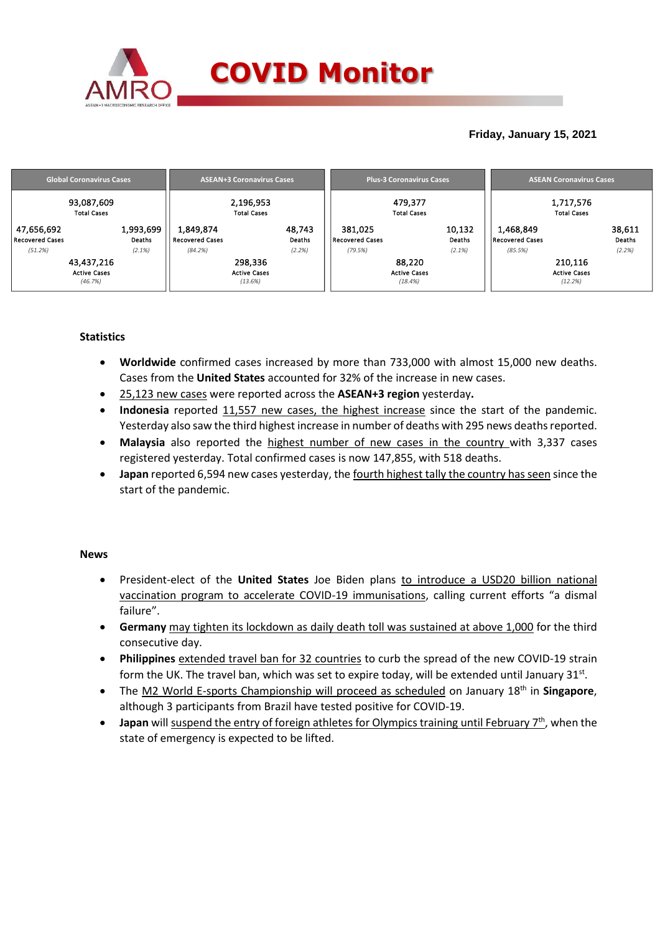

## **Friday, January 15, 2021**

| <b>Global Coronavirus Cases</b>                         |                     |                                     | <b>ASEAN+3 Coronavirus Cases</b>                    |                                   | <b>Plus-3 Coronavirus Cases</b>                    | <b>ASEAN Coronavirus Cases</b>      |                                           |                  |  |
|---------------------------------------------------------|---------------------|-------------------------------------|-----------------------------------------------------|-----------------------------------|----------------------------------------------------|-------------------------------------|-------------------------------------------|------------------|--|
| 93,087,609<br><b>Total Cases</b>                        |                     |                                     | 2,196,953<br><b>Total Cases</b>                     |                                   | 479,377<br><b>Total Cases</b>                      | 1,717,576<br><b>Total Cases</b>     |                                           |                  |  |
| 47,656,692<br>Recovered Cases                           | 1,993,699<br>Deaths | 1,849,874<br><b>Recovered Cases</b> | 48,743<br>Deaths                                    | 381,025<br><b>Recovered Cases</b> | 10,132<br>Deaths                                   | 1,468,849<br><b>Recovered Cases</b> |                                           | 38,611<br>Deaths |  |
| (51.2%)<br>43,437,216<br><b>Active Cases</b><br>(46.7%) | (2.1%)              | (84.2%)                             | (2.2%)<br>298,336<br><b>Active Cases</b><br>(13.6%) | (79.5%)                           | (2.1%)<br>88,220<br><b>Active Cases</b><br>(18.4%) | (85.5%)                             | 210,116<br><b>Active Cases</b><br>(12.2%) | (2.2%)           |  |

### **Statistics**

- **Worldwide** confirmed cases increased by more than 733,000 with almost 15,000 new deaths. Cases from the **United States** accounted for 32% of the increase in new cases.
- 25,123 new cases were reported across the **ASEAN+3 region** yesterday**.**
- **Indonesia** reported 11,557 new cases, the highest increase since the start of the pandemic. Yesterday also saw the third highest increase in number of deaths with 295 news deaths reported.
- **Malaysia** also reported the highest number of new cases in the country with 3,337 cases registered yesterday. Total confirmed cases is now 147,855, with 518 deaths.
- **Japan** reported 6,594 new cases yesterday, the fourth highest tally the country has seen since the start of the pandemic.

#### **News**

- President-elect of the **United States** Joe Biden plans to introduce a USD20 billion national vaccination program to accelerate COVID-19 immunisations, calling current efforts "a dismal failure".
- **Germany** may tighten its lockdown as daily death toll was sustained at above 1,000 for the third consecutive day.
- **Philippines** extended travel ban for 32 countries to curb the spread of the new COVID-19 strain form the UK. The travel ban, which was set to expire today, will be extended until January 31st.
- The M2 World E-sports Championship will proceed as scheduled on January 18th in **Singapore**, although 3 participants from Brazil have tested positive for COVID-19.
- **•** Japan will suspend the entry of foreign athletes for Olympics training until February 7<sup>th</sup>, when the state of emergency is expected to be lifted.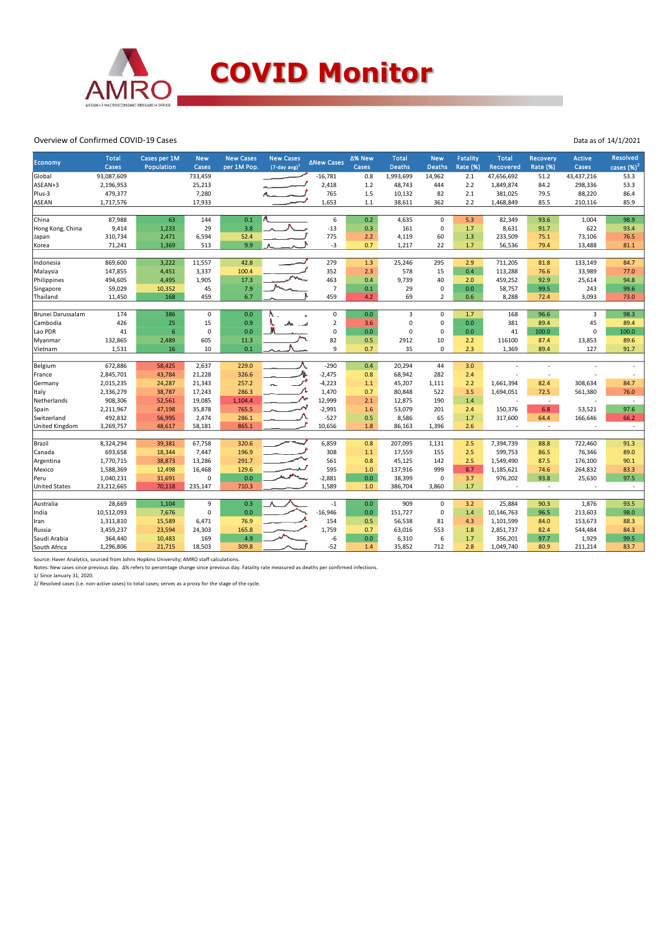

#### Overview of Confirmed COVID-19 Cases

| <b>Economy</b>       | <b>Total</b><br>Cases | Cases per 1M<br>Population | <b>New</b><br>Cases | <b>New Cases</b><br>per 1M Pop. | <b>New Cases</b><br>$(7$ -day avg) <sup>1</sup> | <b>∆New Cases</b> | ∆% New<br>Cases | <b>Total</b><br><b>Deaths</b> | <b>New</b><br><b>Deaths</b> | <b>Fatality</b><br>Rate (%) | <b>Total</b><br>Recovered | Recovery<br>Rate (%) | <b>Active</b><br><b>Cases</b> | <b>Resolved</b><br>cases $(%)2$ |
|----------------------|-----------------------|----------------------------|---------------------|---------------------------------|-------------------------------------------------|-------------------|-----------------|-------------------------------|-----------------------------|-----------------------------|---------------------------|----------------------|-------------------------------|---------------------------------|
| Global               | 93,087,609            |                            | 733,459             |                                 |                                                 | $-16,781$         | 0.8             | 1,993,699                     | 14,962                      | 2.1                         | 47,656,692                | 51.2                 | 43,437,216                    | 53.3                            |
| ASEAN+3              | 2,196,953             |                            | 25,213              |                                 |                                                 | 2,418             | 1.2             | 48,743                        | 444                         | 2.2                         | 1,849,874                 | 84.2                 | 298,336                       | 53.3                            |
| Plus-3               | 479,377               |                            | 7,280               |                                 |                                                 | 765               | 1.5             | 10,132                        | 82                          | 2.1                         | 381,025                   | 79.5                 | 88,220                        | 86.4                            |
| ASEAN                | 1,717,576             |                            | 17,933              |                                 |                                                 | 1,653             | $1.1$           | 38,611                        | 362                         | 2.2                         | 1,468,849                 | 85.5                 | 210,116                       | 85.9                            |
|                      |                       |                            |                     |                                 |                                                 |                   |                 |                               |                             |                             |                           |                      |                               |                                 |
| China                | 87,988                | 63                         | 144                 | 0.1                             |                                                 | 6                 | 0.2             | 4,635                         | $\mathbf 0$                 | 5.3                         | 82,349                    | 93.6                 | 1,004                         | 98.9                            |
| Hong Kong, China     | 9,414                 | 1,233                      | 29                  | 3.8                             |                                                 | $-13$             | 0.3             | 161                           | $\mathbf 0$                 | 1.7                         | 8,631                     | 91.7                 | 622                           | 93.4                            |
| Japan                | 310,734               | 2,471                      | 6,594               | 52.4                            |                                                 | 775               | 2.2             | 4,119                         | 60                          | 1.3                         | 233,509                   | 75.1                 | 73,106                        | 76.5                            |
| Korea                | 71,241                | 1,369                      | 513                 | 9.9                             |                                                 | $-3$              | 0.7             | 1,217                         | 22                          | $1.7$                       | 56,536                    | 79.4                 | 13,488                        | 81.1                            |
|                      |                       |                            |                     |                                 |                                                 |                   |                 |                               |                             |                             |                           |                      |                               |                                 |
| Indonesia            | 869,600               | 3,222                      | 11,557              | 42.8                            |                                                 | 279               | 1.3             | 25,246                        | 295                         | 2.9                         | 711,205                   | 81.8                 | 133,149                       | 84.7                            |
| Malaysia             | 147,855               | 4,451                      | 3,337               | 100.4                           |                                                 | 352               | 2.3             | 578                           | 15                          | 0.4                         | 113,288                   | 76.6                 | 33,989                        | 77.0                            |
| Philippines          | 494,605               | 4,495                      | 1,905               | 17.3                            |                                                 | 463               | 0.4             | 9,739                         | 40                          | 2.0                         | 459,252                   | 92.9                 | 25,614                        | 94.8                            |
| Singapore            | 59,029                | 10,352                     | 45                  | 7.9                             |                                                 | $\overline{7}$    | 0.1             | 29                            | 0                           | 0.0                         | 58,757                    | 99.5                 | 243                           | 99.6                            |
| Thailand             | 11,450                | 168                        | 459                 | 6.7                             |                                                 | 459               | 4.2             | 69                            | $\overline{2}$              | 0.6                         | 8,288                     | 72.4                 | 3,093                         | 73.0                            |
|                      |                       |                            |                     |                                 |                                                 |                   |                 |                               |                             |                             |                           |                      |                               |                                 |
| Brunei Darussalam    | 174                   | 386                        | $\mathbf 0$         | 0.0                             |                                                 | 0                 | 0.0             | $\overline{3}$                | $\mathbf 0$                 | 1.7                         | 168                       | 96.6                 | 3                             | 98.3                            |
| Cambodia             | 426                   | 25                         | 15                  | 0.9                             |                                                 | $\overline{2}$    | 3.6             | 0                             | $\mathbf 0$                 | 0.0                         | 381                       | 89.4                 | 45                            | 89.4                            |
| Lao PDR              | 41                    | $6\phantom{1}6$            | 0                   | 0.0                             |                                                 | $\mathbf 0$       | 0.0             | 0                             | $\mathbf 0$                 | 0.0                         | 41                        | 100.0                | $\Omega$                      | 100.0                           |
| Myanmar              | 132,865               | 2,489                      | 605                 | 11.3                            |                                                 | 82                | 0.5             | 2912                          | $10\,$                      | 2.2                         | 116100                    | 87.4                 | 13,853                        | 89.6                            |
| Vietnam              | 1,531                 | 16                         | 10                  | 0.1                             |                                                 | 9                 | 0.7             | 35                            | $\mathbf 0$                 | 2.3                         | 1,369                     | 89.4                 | 127                           | 91.7                            |
|                      |                       |                            |                     |                                 |                                                 |                   |                 |                               |                             |                             |                           |                      |                               |                                 |
| Belgium              | 672,886               | 58,425                     | 2,637               | 229.0                           |                                                 | $-290$            | 0.4             | 20,294                        | 44                          | 3.0                         |                           |                      |                               |                                 |
| France               | 2,845,701             | 43,784                     | 21,228              | 326.6                           |                                                 | $-2,475$          | 0.8             | 68,942                        | 282                         | 2.4                         |                           |                      |                               |                                 |
| Germany              | 2,015,235             | 24,287                     | 21,343              | 257.2                           |                                                 | $-4,223$          | 1.1             | 45,207                        | 1,111                       | 2.2                         | 1,661,394                 | 82.4                 | 308,634                       | 84.7                            |
| Italy                | 2,336,279             | 38,787                     | 17,243              | 286.3                           |                                                 | 1,470             | 0.7             | 80,848                        | 522                         | 3.5                         | 1,694,051                 | 72.5                 | 561,380                       | 76.0                            |
| Netherlands          | 908,306               | 52,561                     | 19,085              | 1,104.4                         |                                                 | 12,999            | 2.1             | 12,875                        | 190                         | 1.4                         |                           | $\epsilon$           |                               | $\sim$                          |
| Spain                | 2,211,967             | 47,198                     | 35,878              | 765.5                           |                                                 | $-2,991$          | 1.6             | 53,079                        | 201                         | 2.4                         | 150,376                   | 6.8                  | 53,521                        | 97.6                            |
| Switzerland          | 492,832               | 56,995                     | 2,474               | 286.1                           |                                                 | $-527$            | 0.5             | 8,586                         | 65                          | 1.7                         | 317,600                   | 64.4                 | 166,646                       | 66.2                            |
| United Kingdom       | 3,269,757             | 48,617                     | 58,181              | 865.1                           |                                                 | 10,656            | 1.8             | 86,163                        | 1,396                       | 2.6                         |                           | ×,                   |                               | $\sim$                          |
|                      |                       |                            |                     |                                 |                                                 |                   |                 |                               |                             |                             |                           |                      |                               |                                 |
| Brazil               | 8,324,294             | 39,381                     | 67,758              | 320.6                           |                                                 | 6,859             | 0.8             | 207,095                       | 1,131                       | 2.5                         | 7,394,739                 | 88.8                 | 722,460                       | 91.3                            |
| Canada               | 693,658               | 18,344                     | 7,447               | 196.9                           |                                                 | 308               | 1.1             | 17,559                        | 155                         | 2.5                         | 599,753                   | 86.5                 | 76,346                        | 89.0                            |
| Argentina            | 1,770,715             | 38,873                     | 13,286              | 291.7                           |                                                 | 561               | 0.8             | 45,125                        | 142                         | 2.5                         | 1,549,490                 | 87.5                 | 176,100                       | 90.1                            |
| Mexico               | 1,588,369             | 12,498                     | 16,468              | 129.6                           |                                                 | 595               | 1.0             | 137,916                       | 999                         | 8.7                         | 1,185,621                 | 74.6                 | 264,832                       | 83.3                            |
| Peru                 | 1,040,231             | 31,691                     | 0                   | 0.0                             |                                                 | $-2,881$          | 0.0             | 38,399                        | $\mathbf 0$                 | 3.7                         | 976,202                   | 93.8                 | 25,630                        | 97.5                            |
| <b>United States</b> | 23,212,665            | 70,118                     | 235,147             | 710.3                           |                                                 | 1,589             | 1.0             | 386,704                       | 3,860                       | 1.7                         |                           | ä,                   |                               | $\sim$                          |
|                      |                       |                            |                     |                                 |                                                 |                   |                 |                               |                             |                             |                           |                      |                               |                                 |
| Australia            | 28,669                | 1,104                      | 9                   | 0.3                             |                                                 | $-1$              | 0.0             | 909                           | $\mathbf 0$                 | 3.2                         | 25,884                    | 90.3                 | 1,876                         | 93.5                            |
| India                | 10,512,093            | 7,676                      | 0                   | 0.0                             |                                                 | $-16,946$         | 0.0             | 151,727                       | $\mathsf 0$                 | 1.4                         | 10,146,763                | 96.5                 | 213,603                       | 98.0                            |
| Iran                 | 1,311,810             | 15,589                     | 6,471               | 76.9                            |                                                 | 154               | 0.5             | 56,538                        | 81                          | 4.3                         | 1,101,599                 | 84.0                 | 153,673                       | 88.3                            |
| Russia               | 3,459,237             | 23,594                     | 24,303              | 165.8                           |                                                 | 1,759             | 0.7             | 63,016                        | 553                         | 1.8                         | 2,851,737                 | 82.4                 | 544,484                       | 84.3                            |
| Saudi Arabia         | 364,440               | 10,483                     | 169                 | 4.9                             |                                                 | -6                | 0.0             | 6,310                         | 6                           | 1.7                         | 356,201                   | 97.7                 | 1,929                         | 99.5                            |
| South Africa         | 1,296,806             | 21,715                     | 18,503              | 309.8                           |                                                 | $-52$             | 1.4             | 35,852                        | 712                         | 2.8                         | 1,049,740                 | 80.9                 | 211,214                       | 83.7                            |

Source: Haver Analytics, sourced from Johns Hopkins University; AMRO staff calculations.<br>Notes: New cases since previous day. Δ% refers to percentage change since previous day. Fatality rate measured as deaths per confirm

2/ Resolved cases (i.e. non-active cases) to total cases; serves as a proxy for the stage of the cycle.

Data as of 14/1/2021